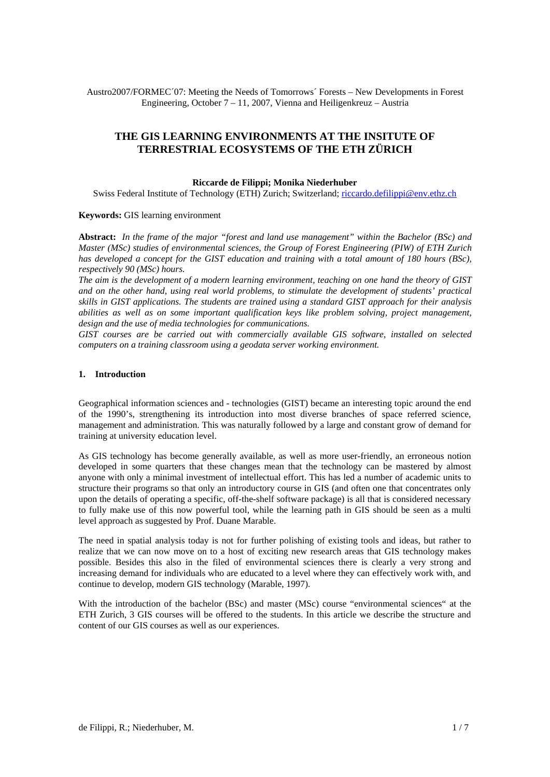Austro2007/FORMEC´07: Meeting the Needs of Tomorrows´ Forests – New Developments in Forest Engineering, October 7 – 11, 2007, Vienna and Heiligenkreuz – Austria

# **THE GIS LEARNING ENVIRONMENTS AT THE INSITUTE OF TERRESTRIAL ECOSYSTEMS OF THE ETH ZÜRICH**

#### **Riccarde de Filippi; Monika Niederhuber**

Swiss Federal Institute of Technology (ETH) Zurich; Switzerland; riccardo.defilippi@env.ethz.ch

#### **Keywords:** GIS learning environment

**Abstract:** *In the frame of the major "forest and land use management" within the Bachelor (BSc) and Master (MSc) studies of environmental sciences, the Group of Forest Engineering (PIW) of ETH Zurich has developed a concept for the GIST education and training with a total amount of 180 hours (BSc), respectively 90 (MSc) hours.* 

*The aim is the development of a modern learning environment, teaching on one hand the theory of GIST and on the other hand, using real world problems, to stimulate the development of students' practical skills in GIST applications. The students are trained using a standard GIST approach for their analysis abilities as well as on some important qualification keys like problem solving, project management, design and the use of media technologies for communications.* 

*GIST courses are be carried out with commercially available GIS software, installed on selected computers on a training classroom using a geodata server working environment.* 

#### **1. Introduction**

Geographical information sciences and - technologies (GIST) became an interesting topic around the end of the 1990's, strengthening its introduction into most diverse branches of space referred science, management and administration. This was naturally followed by a large and constant grow of demand for training at university education level.

As GIS technology has become generally available, as well as more user-friendly, an erroneous notion developed in some quarters that these changes mean that the technology can be mastered by almost anyone with only a minimal investment of intellectual effort. This has led a number of academic units to structure their programs so that only an introductory course in GIS (and often one that concentrates only upon the details of operating a specific, off-the-shelf software package) is all that is considered necessary to fully make use of this now powerful tool, while the learning path in GIS should be seen as a multi level approach as suggested by Prof. Duane Marable.

The need in spatial analysis today is not for further polishing of existing tools and ideas, but rather to realize that we can now move on to a host of exciting new research areas that GIS technology makes possible. Besides this also in the filed of environmental sciences there is clearly a very strong and increasing demand for individuals who are educated to a level where they can effectively work with, and continue to develop, modern GIS technology (Marable, 1997).

With the introduction of the bachelor (BSc) and master (MSc) course "environmental sciences" at the ETH Zurich, 3 GIS courses will be offered to the students. In this article we describe the structure and content of our GIS courses as well as our experiences.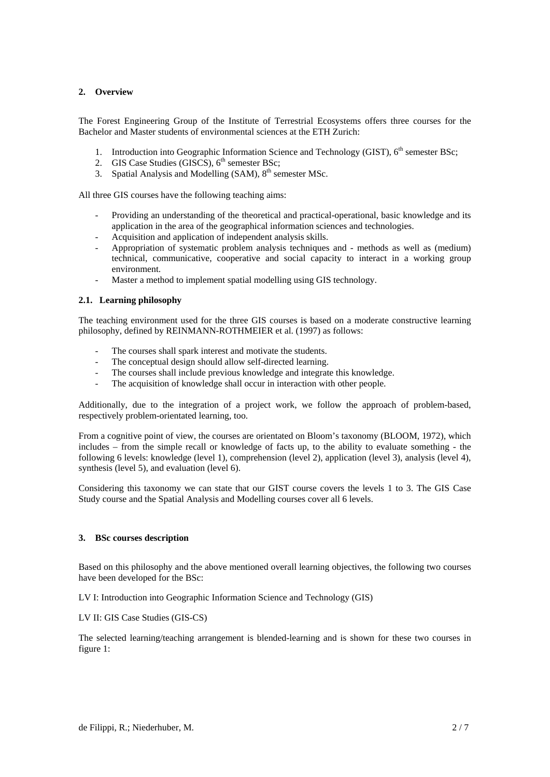### **2. Overview**

The Forest Engineering Group of the Institute of Terrestrial Ecosystems offers three courses for the Bachelor and Master students of environmental sciences at the ETH Zurich:

- 1. Introduction into Geographic Information Science and Technology (GIST), 6<sup>th</sup> semester BSc;
- 2. GIS Case Studies (GISCS),  $6<sup>th</sup>$  semester BSc;
- 3. Spatial Analysis and Modelling  $(SAM)$ ,  $8<sup>th</sup>$  semester MSc.

All three GIS courses have the following teaching aims:

- Providing an understanding of the theoretical and practical-operational, basic knowledge and its application in the area of the geographical information sciences and technologies.
- Acquisition and application of independent analysis skills.
- Appropriation of systematic problem analysis techniques and methods as well as (medium) technical, communicative, cooperative and social capacity to interact in a working group environment.
- Master a method to implement spatial modelling using GIS technology.

## **2.1. Learning philosophy**

The teaching environment used for the three GIS courses is based on a moderate constructive learning philosophy, defined by REINMANN-ROTHMEIER et al. (1997) as follows:

- The courses shall spark interest and motivate the students.
- The conceptual design should allow self-directed learning.
- The courses shall include previous knowledge and integrate this knowledge.
- The acquisition of knowledge shall occur in interaction with other people.

Additionally, due to the integration of a project work, we follow the approach of problem-based, respectively problem-orientated learning, too.

From a cognitive point of view, the courses are orientated on Bloom's taxonomy (BLOOM, 1972), which includes – from the simple recall or knowledge of facts up, to the ability to evaluate something - the following 6 levels: knowledge (level 1), comprehension (level 2), application (level 3), analysis (level 4), synthesis (level 5), and evaluation (level 6).

Considering this taxonomy we can state that our GIST course covers the levels 1 to 3. The GIS Case Study course and the Spatial Analysis and Modelling courses cover all 6 levels.

### **3. BSc courses description**

Based on this philosophy and the above mentioned overall learning objectives, the following two courses have been developed for the BSc:

LV I: Introduction into Geographic Information Science and Technology (GIS)

LV II: GIS Case Studies (GIS-CS)

The selected learning/teaching arrangement is blended-learning and is shown for these two courses in figure 1: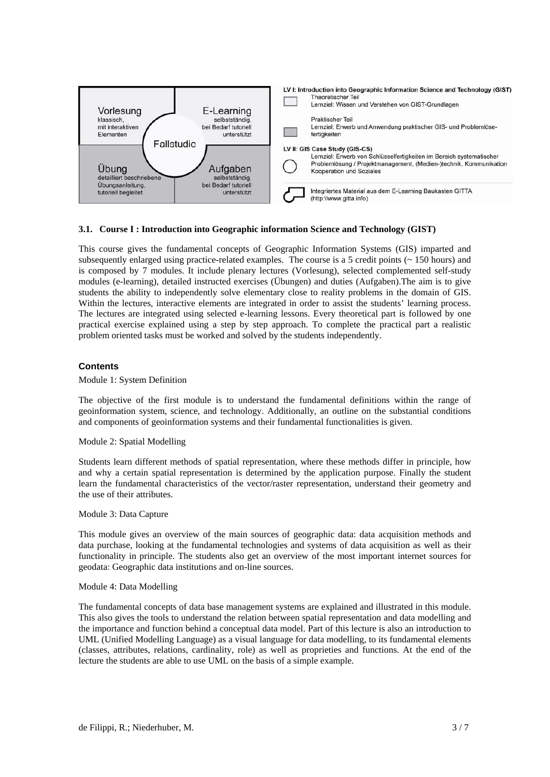

#### **3.1. Course I : Introduction into Geographic information Science and Technology (GIST)**

This course gives the fundamental concepts of Geographic Information Systems (GIS) imparted and subsequently enlarged using practice-related examples. The course is a 5 credit points  $($   $\sim$  150 hours) and is composed by 7 modules. It include plenary lectures (Vorlesung), selected complemented self-study modules (e-learning), detailed instructed exercises (Übungen) and duties (Aufgaben).The aim is to give students the ability to independently solve elementary close to reality problems in the domain of GIS. Within the lectures, interactive elements are integrated in order to assist the students' learning process. The lectures are integrated using selected e-learning lessons. Every theoretical part is followed by one practical exercise explained using a step by step approach. To complete the practical part a realistic problem oriented tasks must be worked and solved by the students independently.

#### **Contents**

Module 1: System Definition

The objective of the first module is to understand the fundamental definitions within the range of geoinformation system, science, and technology. Additionally, an outline on the substantial conditions and components of geoinformation systems and their fundamental functionalities is given.

#### Module 2: Spatial Modelling

Students learn different methods of spatial representation, where these methods differ in principle, how and why a certain spatial representation is determined by the application purpose. Finally the student learn the fundamental characteristics of the vector/raster representation, understand their geometry and the use of their attributes.

#### Module 3: Data Capture

This module gives an overview of the main sources of geographic data: data acquisition methods and data purchase, looking at the fundamental technologies and systems of data acquisition as well as their functionality in principle. The students also get an overview of the most important internet sources for geodata: Geographic data institutions and on-line sources.

#### Module 4: Data Modelling

The fundamental concepts of data base management systems are explained and illustrated in this module. This also gives the tools to understand the relation between spatial representation and data modelling and the importance and function behind a conceptual data model. Part of this lecture is also an introduction to UML (Unified Modelling Language) as a visual language for data modelling, to its fundamental elements (classes, attributes, relations, cardinality, role) as well as proprieties and functions. At the end of the lecture the students are able to use UML on the basis of a simple example.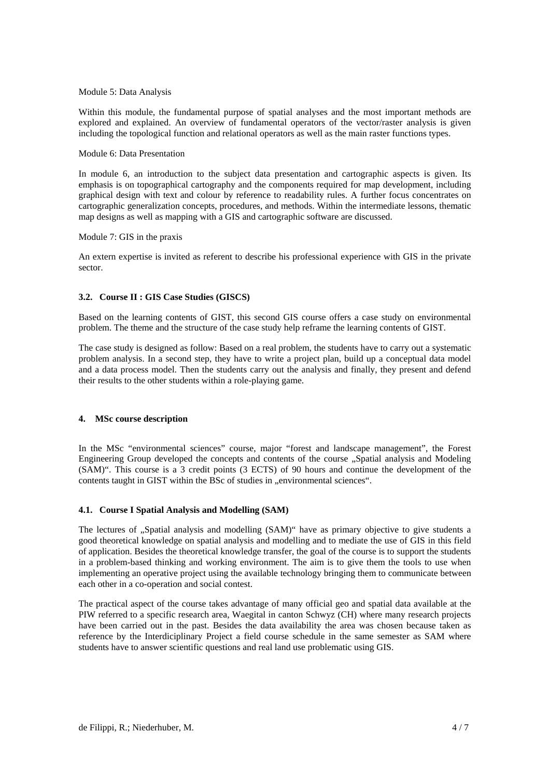#### Module 5: Data Analysis

Within this module, the fundamental purpose of spatial analyses and the most important methods are explored and explained. An overview of fundamental operators of the vector/raster analysis is given including the topological function and relational operators as well as the main raster functions types.

#### Module 6: Data Presentation

In module 6, an introduction to the subject data presentation and cartographic aspects is given. Its emphasis is on topographical cartography and the components required for map development, including graphical design with text and colour by reference to readability rules. A further focus concentrates on cartographic generalization concepts, procedures, and methods. Within the intermediate lessons, thematic map designs as well as mapping with a GIS and cartographic software are discussed.

#### Module 7: GIS in the praxis

An extern expertise is invited as referent to describe his professional experience with GIS in the private sector.

### **3.2. Course II : GIS Case Studies (GISCS)**

Based on the learning contents of GIST, this second GIS course offers a case study on environmental problem. The theme and the structure of the case study help reframe the learning contents of GIST.

The case study is designed as follow: Based on a real problem, the students have to carry out a systematic problem analysis. In a second step, they have to write a project plan, build up a conceptual data model and a data process model. Then the students carry out the analysis and finally, they present and defend their results to the other students within a role-playing game.

### **4. MSc course description**

In the MSc "environmental sciences" course, major "forest and landscape management", the Forest Engineering Group developed the concepts and contents of the course "Spatial analysis and Modeling (SAM)". This course is a 3 credit points (3 ECTS) of 90 hours and continue the development of the contents taught in GIST within the BSc of studies in "environmental sciences".

### **4.1. Course I Spatial Analysis and Modelling (SAM)**

The lectures of "Spatial analysis and modelling (SAM)" have as primary objective to give students a good theoretical knowledge on spatial analysis and modelling and to mediate the use of GIS in this field of application. Besides the theoretical knowledge transfer, the goal of the course is to support the students in a problem-based thinking and working environment. The aim is to give them the tools to use when implementing an operative project using the available technology bringing them to communicate between each other in a co-operation and social contest.

The practical aspect of the course takes advantage of many official geo and spatial data available at the PIW referred to a specific research area, Waegital in canton Schwyz (CH) where many research projects have been carried out in the past. Besides the data availability the area was chosen because taken as reference by the Interdiciplinary Project a field course schedule in the same semester as SAM where students have to answer scientific questions and real land use problematic using GIS.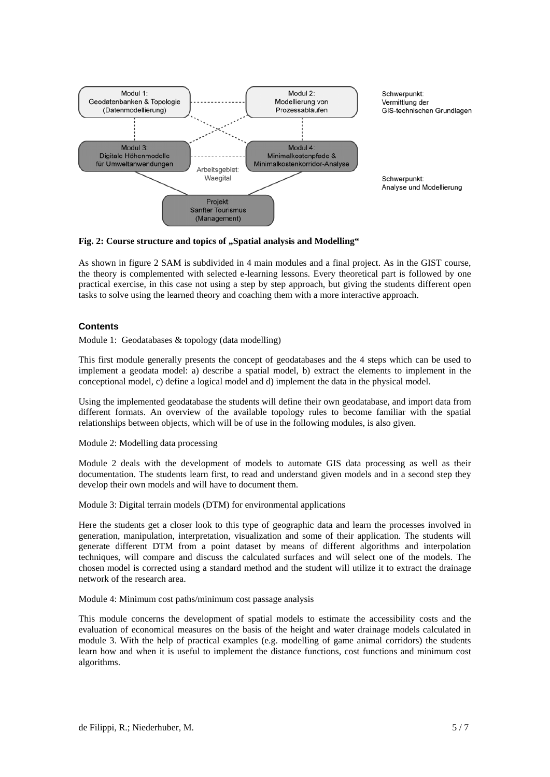

### Fig. 2: Course structure and topics of "Spatial analysis and Modelling"

As shown in figure 2 SAM is subdivided in 4 main modules and a final project. As in the GIST course, the theory is complemented with selected e-learning lessons. Every theoretical part is followed by one practical exercise, in this case not using a step by step approach, but giving the students different open tasks to solve using the learned theory and coaching them with a more interactive approach.

#### **Contents**

Module 1: Geodatabases & topology (data modelling)

This first module generally presents the concept of geodatabases and the 4 steps which can be used to implement a geodata model: a) describe a spatial model, b) extract the elements to implement in the conceptional model, c) define a logical model and d) implement the data in the physical model.

Using the implemented geodatabase the students will define their own geodatabase, and import data from different formats. An overview of the available topology rules to become familiar with the spatial relationships between objects, which will be of use in the following modules, is also given.

Module 2: Modelling data processing

Module 2 deals with the development of models to automate GIS data processing as well as their documentation. The students learn first, to read and understand given models and in a second step they develop their own models and will have to document them.

Module 3: Digital terrain models (DTM) for environmental applications

Here the students get a closer look to this type of geographic data and learn the processes involved in generation, manipulation, interpretation, visualization and some of their application. The students will generate different DTM from a point dataset by means of different algorithms and interpolation techniques, will compare and discuss the calculated surfaces and will select one of the models. The chosen model is corrected using a standard method and the student will utilize it to extract the drainage network of the research area.

Module 4: Minimum cost paths/minimum cost passage analysis

This module concerns the development of spatial models to estimate the accessibility costs and the evaluation of economical measures on the basis of the height and water drainage models calculated in module 3. With the help of practical examples (e.g. modelling of game animal corridors) the students learn how and when it is useful to implement the distance functions, cost functions and minimum cost algorithms.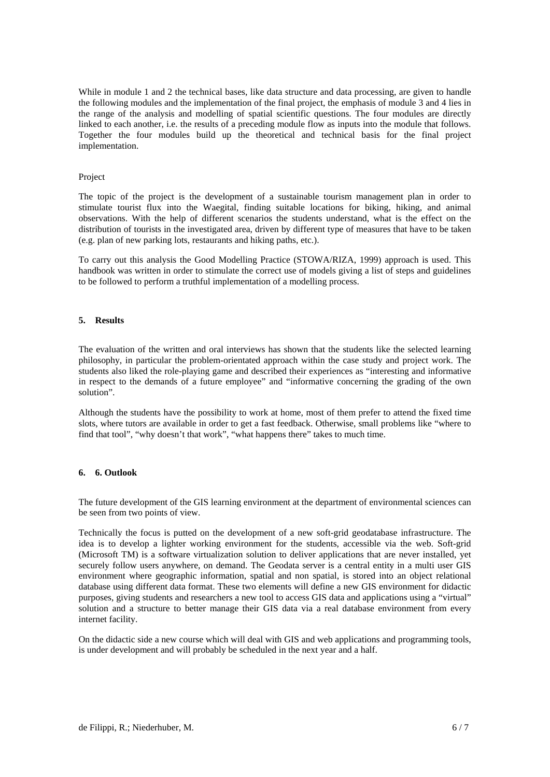While in module 1 and 2 the technical bases, like data structure and data processing, are given to handle the following modules and the implementation of the final project, the emphasis of module 3 and 4 lies in the range of the analysis and modelling of spatial scientific questions. The four modules are directly linked to each another, i.e. the results of a preceding module flow as inputs into the module that follows. Together the four modules build up the theoretical and technical basis for the final project implementation.

#### Project

The topic of the project is the development of a sustainable tourism management plan in order to stimulate tourist flux into the Waegital, finding suitable locations for biking, hiking, and animal observations. With the help of different scenarios the students understand, what is the effect on the distribution of tourists in the investigated area, driven by different type of measures that have to be taken (e.g. plan of new parking lots, restaurants and hiking paths, etc.).

To carry out this analysis the Good Modelling Practice (STOWA/RIZA, 1999) approach is used. This handbook was written in order to stimulate the correct use of models giving a list of steps and guidelines to be followed to perform a truthful implementation of a modelling process.

#### **5. Results**

The evaluation of the written and oral interviews has shown that the students like the selected learning philosophy, in particular the problem-orientated approach within the case study and project work. The students also liked the role-playing game and described their experiences as "interesting and informative in respect to the demands of a future employee" and "informative concerning the grading of the own solution".

Although the students have the possibility to work at home, most of them prefer to attend the fixed time slots, where tutors are available in order to get a fast feedback. Otherwise, small problems like "where to find that tool", "why doesn't that work", "what happens there" takes to much time.

### **6. 6. Outlook**

The future development of the GIS learning environment at the department of environmental sciences can be seen from two points of view.

Technically the focus is putted on the development of a new soft-grid geodatabase infrastructure. The idea is to develop a lighter working environment for the students, accessible via the web. Soft-grid (Microsoft TM) is a software virtualization solution to deliver applications that are never installed, yet securely follow users anywhere, on demand. The Geodata server is a central entity in a multi user GIS environment where geographic information, spatial and non spatial, is stored into an object relational database using different data format. These two elements will define a new GIS environment for didactic purposes, giving students and researchers a new tool to access GIS data and applications using a "virtual" solution and a structure to better manage their GIS data via a real database environment from every internet facility.

On the didactic side a new course which will deal with GIS and web applications and programming tools, is under development and will probably be scheduled in the next year and a half.